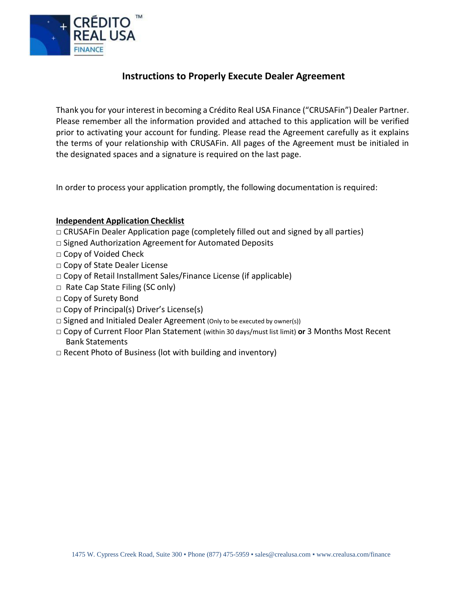

# **Instructions to Properly Execute Dealer Agreement**

Thank you for your interest in becoming a Crédito Real USA Finance ("CRUSAFin") Dealer Partner. Please remember all the information provided and attached to this application will be verified prior to activating your account for funding. Please read the Agreement carefully as it explains the terms of your relationship with CRUSAFin. All pages of the Agreement must be initialed in the designated spaces and a signature is required on the last page.

In order to process your application promptly, the following documentation is required:

### **Independent Application Checklist**

- □ CRUSAFin Dealer Application page (completely filled out and signed by all parties)
- □ Signed Authorization Agreement for Automated Deposits
- □ Copy of Voided Check
- □ Copy of State Dealer License
- $\Box$  Copy of Retail Installment Sales/Finance License (if applicable)
- □ Rate Cap State Filing (SC only)
- □ Copy of Surety Bond
- □ Copy of Principal(s) Driver's License(s)
- $\Box$  Signed and Initialed Dealer Agreement (Only to be executed by owner(s))
- □ Copy of Current Floor Plan Statement (within 30 days/must list limit) **or** 3 Months Most Recent Bank Statements
- $\Box$  Recent Photo of Business (lot with building and inventory)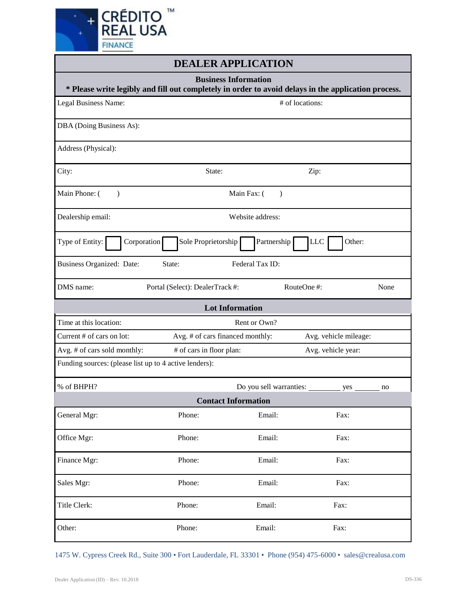

| <b>DEALER APPLICATION</b>                                                                                                          |                                                |                            |                       |      |  |  |
|------------------------------------------------------------------------------------------------------------------------------------|------------------------------------------------|----------------------------|-----------------------|------|--|--|
| <b>Business Information</b><br>* Please write legibly and fill out completely in order to avoid delays in the application process. |                                                |                            |                       |      |  |  |
| Legal Business Name:                                                                                                               | # of locations:                                |                            |                       |      |  |  |
| DBA (Doing Business As):                                                                                                           |                                                |                            |                       |      |  |  |
| Address (Physical):                                                                                                                |                                                |                            |                       |      |  |  |
| City:                                                                                                                              | State:                                         |                            | Zip:                  |      |  |  |
| Main Phone: (<br>$\lambda$                                                                                                         | Main Fax: (<br>$\lambda$                       |                            |                       |      |  |  |
| Website address:<br>Dealership email:                                                                                              |                                                |                            |                       |      |  |  |
| Type of Entity:<br>Corporation                                                                                                     | Sole Proprietorship                            | Partnership                | Other:<br><b>LLC</b>  |      |  |  |
| Federal Tax ID:<br><b>Business Organized: Date:</b><br>State:                                                                      |                                                |                            |                       |      |  |  |
| DMS name:                                                                                                                          | Portal (Select): DealerTrack #:                |                            | RouteOne #:           | None |  |  |
|                                                                                                                                    | <b>Lot Information</b>                         |                            |                       |      |  |  |
| Time at this location:                                                                                                             |                                                | Rent or Own?               |                       |      |  |  |
| Current # of cars on lot:                                                                                                          | Avg. # of cars financed monthly:               |                            | Avg. vehicle mileage: |      |  |  |
| Avg. # of cars sold monthly:                                                                                                       | # of cars in floor plan:<br>Avg. vehicle year: |                            |                       |      |  |  |
| Funding sources: (please list up to 4 active lenders):                                                                             |                                                |                            |                       |      |  |  |
| % of BHPH?                                                                                                                         |                                                | Do you sell warranties:    | yes                   | no   |  |  |
|                                                                                                                                    |                                                | <b>Contact Information</b> |                       |      |  |  |
| General Mgr:                                                                                                                       | Phone:                                         | Email:                     | Fax:                  |      |  |  |
| Office Mgr:                                                                                                                        | Phone:                                         | Email:                     | Fax:                  |      |  |  |
| Finance Mgr:                                                                                                                       | Phone:                                         | Email:                     | Fax:                  |      |  |  |
| Sales Mgr:                                                                                                                         | Phone:                                         | Email:                     | Fax:                  |      |  |  |
| Title Clerk:                                                                                                                       | Phone:                                         | Email:                     | Fax:                  |      |  |  |
| Other:                                                                                                                             | Phone:                                         | Email:                     | Fax:                  |      |  |  |

1475 W. Cypress Creek Rd., Suite 300 • Fort Lauderdale, FL 33301 • Phone (954) 475-6000 • sales@crealusa.com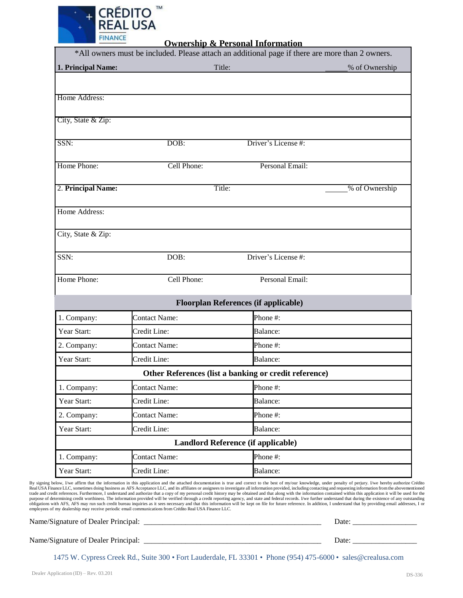

**Ownership & Personal Information**

|                    |                      | <u>Ownersing &amp; Fersonal Information</u><br>*All owners must be included. Please attach an additional page if there are more than 2 owners. |                |  |
|--------------------|----------------------|------------------------------------------------------------------------------------------------------------------------------------------------|----------------|--|
| 1. Principal Name: |                      | Title:                                                                                                                                         | % of Ownership |  |
|                    |                      |                                                                                                                                                |                |  |
| Home Address:      |                      |                                                                                                                                                |                |  |
|                    |                      |                                                                                                                                                |                |  |
| City, State & Zip: |                      |                                                                                                                                                |                |  |
| SSN:               | DOB:                 | Driver's License #:                                                                                                                            |                |  |
|                    |                      |                                                                                                                                                |                |  |
| Home Phone:        | Cell Phone:          | Personal Email:                                                                                                                                |                |  |
| 2. Principal Name: |                      | Title:                                                                                                                                         | % of Ownership |  |
|                    |                      |                                                                                                                                                |                |  |
| Home Address:      |                      |                                                                                                                                                |                |  |
| City, State & Zip: |                      |                                                                                                                                                |                |  |
|                    |                      |                                                                                                                                                |                |  |
| SSN:               | DOB:                 | Driver's License #:                                                                                                                            |                |  |
| Home Phone:        |                      |                                                                                                                                                |                |  |
|                    | Cell Phone:          | Personal Email:                                                                                                                                |                |  |
|                    |                      | <b>Floorplan References (if applicable)</b>                                                                                                    |                |  |
| 1. Company:        | <b>Contact Name:</b> | Phone #:                                                                                                                                       |                |  |
| Year Start:        | Credit Line:         | Balance:                                                                                                                                       |                |  |
| 2. Company:        | Contact Name:        | Phone #:                                                                                                                                       |                |  |
| Year Start:        | Credit Line:         | Balance:                                                                                                                                       |                |  |
|                    |                      | Other References (list a banking or credit reference)                                                                                          |                |  |
| 1. Company:        | <b>Contact Name:</b> | Phone #:                                                                                                                                       |                |  |
| Year Start:        | Credit Line:         | Balance:                                                                                                                                       |                |  |
| 2. Company:        | <b>Contact Name:</b> | Phone #:                                                                                                                                       |                |  |
| Year Start:        | Credit Line:         | Balance:                                                                                                                                       |                |  |
|                    |                      | Landlord Reference (if applicable)                                                                                                             |                |  |
| 1. Company:        | <b>Contact Name:</b> | Phone #:                                                                                                                                       |                |  |
| Year Start:        | Credit Line:         | Balance:                                                                                                                                       |                |  |

By signing below, I/we affirm that the information in this application and the attached documentation is true and correct to the best of my/our knowledge, under penalty of perjury. I/we hereby authorize Crédito Real USA Fi

Name/Signature of Dealer Principal: \_\_\_\_\_\_\_\_\_\_\_\_\_\_\_\_\_\_\_\_\_\_\_\_\_\_\_\_\_\_\_\_\_\_\_\_\_\_\_\_\_\_\_\_\_\_\_ Date: \_\_\_\_\_\_\_\_\_\_\_\_\_\_\_\_\_

Name/Signature of Dealer Principal: \_\_\_\_\_\_\_\_\_\_\_\_\_\_\_\_\_\_\_\_\_\_\_\_\_\_\_\_\_\_\_\_\_\_\_\_\_\_\_\_\_\_\_\_\_\_\_ Date: \_\_\_\_\_\_\_\_\_\_\_\_\_\_\_\_\_

1475 W. Cypress Creek Rd., Suite 300 • Fort Lauderdale, FL 33301 • Phone (954) 475-6000 • sales@crealusa.com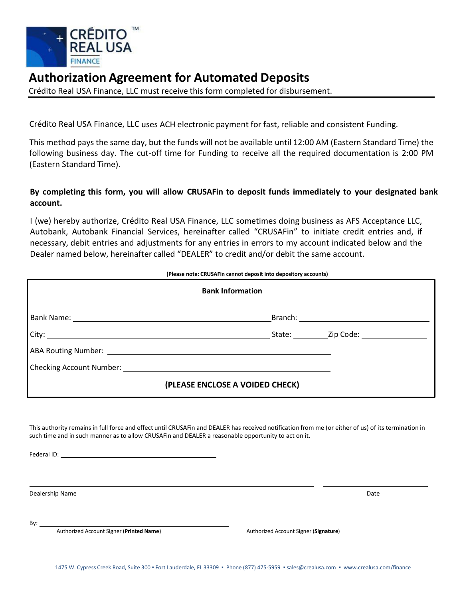

# **Authorization Agreement for Automated Deposits**

Crédito Real USA Finance, LLC must receive this form completed for disbursement.

Crédito Real USA Finance, LLC uses ACH electronic payment for fast, reliable and consistent Funding.

This method pays the same day, but the funds will not be available until 12:00 AM (Eastern Standard Time) the following business day. The cut-off time for Funding to receive all the required documentation is 2:00 PM (Eastern Standard Time).

## **By completing this form, you will allow CRUSAFin to deposit funds immediately to your designated bank account.**

I (we) hereby authorize, Crédito Real USA Finance, LLC sometimes doing business as AFS Acceptance LLC, Autobank, Autobank Financial Services, hereinafter called "CRUSAFin" to initiate credit entries and, if necessary, debit entries and adjustments for any entries in errors to my account [indicated](mailto:dealers@afsacceptance.com) below and the Dealer named below, hereinafter called "DEALER" to credit and/or debit the same account.

| (Please note: CRUSAFin cannot deposit into depository accounts) |  |
|-----------------------------------------------------------------|--|
| <b>Bank Information</b>                                         |  |
|                                                                 |  |
|                                                                 |  |
|                                                                 |  |
|                                                                 |  |
| (PLEASE ENCLOSE A VOIDED CHECK)                                 |  |

This authority remains in full force and effect until CRUSAFin and DEALER has received notification from me (or either of us) of its termination in such time and in such manner as to allow CRUSAFin and DEALER a reasonable opportunity to act on it.

Federal ID:

Dealership Name Date and the Date of the Date of the Date of the Date of the Date of the Date of the Date of the Date of the Date of the Date of the Date of the Date of the Date of the Date of the Date of the Date of the D

By:

Authorized Account Signer (**Printed Name**) Authorized Account Signer (**Signature**)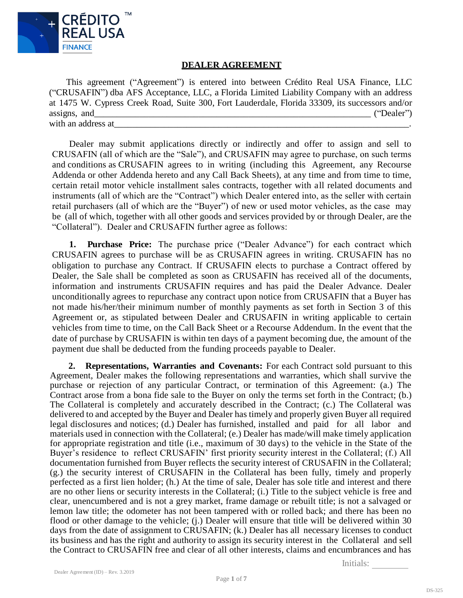

### **DEALER AGREEMENT**

This agreement ("Agreement") is entered into between Crédito Real USA Finance, LLC ("CRUSAFIN") dba AFS Acceptance, LLC, a Florida Limited Liability Company with an address at 1475 W. Cypress Creek Road, Suite 300, Fort Lauderdale, Florida 33309, its successors and/or assigns, and  $($  "Dealer") with an address at

Dealer may submit applications directly or indirectly and offer to assign and sell to CRUSAFIN (all of which are the "Sale"), and CRUSAFIN may agree to purchase, on such terms and conditions as CRUSAFIN agrees to in writing (including this Agreement, any Recourse Addenda or other Addenda hereto and any Call Back Sheets), at any time and from time to time, certain retail motor vehicle installment sales contracts, together with all related documents and instruments (all of which are the "Contract") which Dealer entered into, as the seller with certain retail purchasers (all of which are the "Buyer") of new or used motor vehicles, as the case may be (all of which, together with all other goods and services provided by or through Dealer, are the "Collateral"). Dealer and CRUSAFIN further agree as follows:

**1. Purchase Price:** The purchase price ("Dealer Advance") for each contract which CRUSAFIN agrees to purchase will be as CRUSAFIN agrees in writing. CRUSAFIN has no obligation to purchase any Contract. If CRUSAFIN elects to purchase a Contract offered by Dealer, the Sale shall be completed as soon as CRUSAFIN has received all of the documents, information and instruments CRUSAFIN requires and has paid the Dealer Advance. Dealer unconditionally agrees to repurchase any contract upon notice from CRUSAFIN that a Buyer has not made his/her/their minimum number of monthly payments as set forth in Section 3 of this Agreement or, as stipulated between Dealer and CRUSAFIN in writing applicable to certain vehicles from time to time, on the Call Back Sheet or a Recourse Addendum. In the event that the date of purchase by CRUSAFIN is within ten days of a payment becoming due, the amount of the payment due shall be deducted from the funding proceeds payable to Dealer.

**2. Representations, Warranties and Covenants:** For each Contract sold pursuant to this Agreement, Dealer makes the following representations and warranties, which shall survive the purchase or rejection of any particular Contract, or termination of this Agreement: (a.) The Contract arose from a bona fide sale to the Buyer on only the terms set forth in the Contract; (b.) The Collateral is completely and accurately described in the Contract; (c.) The Collateral was delivered to and accepted by the Buyer and Dealer has timely and properly given Buyer all required legal disclosures and notices; (d.) Dealer has furnished, installed and paid for all labor and materials used in connection with the Collateral; (e.) Dealer has made/will make timely application for appropriate registration and title (i.e., maximum of 30 days) to the vehicle in the State of the Buyer's residence to reflect CRUSAFIN' first priority security interest in the Collateral; (f.) All documentation furnished from Buyer reflects the security interest of CRUSAFIN in the Collateral; (g.) the security interest of CRUSAFIN in the Collateral has been fully, timely and properly perfected as a first lien holder; (h.) At the time of sale, Dealer has sole title and interest and there are no other liens or security interests in the Collateral; (i.) Title to the subject vehicle is free and clear, unencumbered and is not a grey market, frame damage or rebuilt title; is not a salvaged or lemon law title; the odometer has not been tampered with or rolled back; and there has been no flood or other damage to the vehicle; (j.) Dealer will ensure that title will be delivered within 30 days from the date of assignment to CRUSAFIN; (k.) Dealer has all necessary licenses to conduct its business and has the right and authority to assign its security interest in the Collateral and sell the Contract to CRUSAFIN free and clear of all other interests, claims and encumbrances and has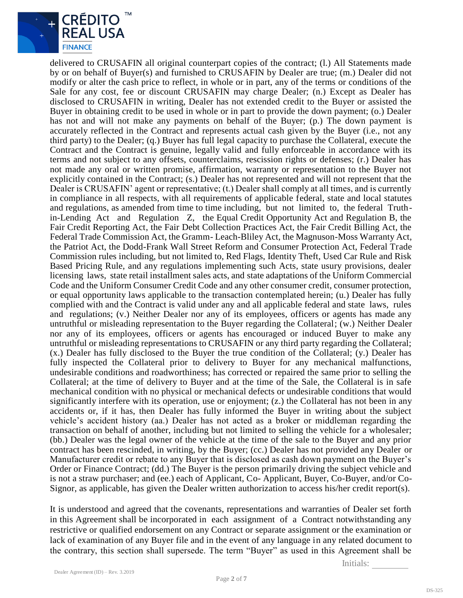

delivered to CRUSAFIN all original counterpart copies of the contract; (l.) All Statements made by or on behalf of Buyer(s) and furnished to CRUSAFIN by Dealer are true; (m.) Dealer did not modify or alter the cash price to reflect, in whole or in part, any of the terms or conditions of the Sale for any cost, fee or discount CRUSAFIN may charge Dealer; (n.) Except as Dealer has disclosed to CRUSAFIN in writing, Dealer has not extended credit to the Buyer or assisted the Buyer in obtaining credit to be used in whole or in part to provide the down payment; (o.) Dealer has not and will not make any payments on behalf of the Buyer; (p.) The down payment is accurately reflected in the Contract and represents actual cash given by the Buyer (i.e., not any third party) to the Dealer; (q.) Buyer has full legal capacity to purchase the Collateral, execute the Contract and the Contract is genuine, legally valid and fully enforceable in accordance with its terms and not subject to any offsets, counterclaims, rescission rights or defenses; (r.) Dealer has not made any oral or written promise, affirmation, warranty or representation to the Buyer not explicitly contained in the Contract; (s.) Dealer has not represented and will not represent that the Dealer is CRUSAFIN' agent or representative; (t.) Dealer shall comply at all times, and is currently in compliance in all respects, with all requirements of applicable federal, state and local statutes and regulations, as amended from time to time including, but not limited to, the federal Truthin-Lending Act and Regulation Z, the Equal Credit Opportunity Act and Regulation B, the Fair Credit Reporting Act, the Fair Debt Collection Practices Act, the Fair Credit Billing Act, the Federal Trade Commission Act, the Gramm- Leach-Bliley Act, the Magnuson-Moss Warranty Act, the Patriot Act, the Dodd-Frank Wall Street Reform and Consumer Protection Act, Federal Trade Commission rules including, but not limited to, Red Flags, Identity Theft, Used Car Rule and Risk Based Pricing Rule, and any regulations implementing such Acts, state usury provisions, dealer licensing laws, state retail installment sales acts, and state adaptations of the Uniform Commercial Code and the Uniform Consumer Credit Code and any other consumer credit, consumer protection, or equal opportunity laws applicable to the transaction contemplated herein; (u.) Dealer has fully complied with and the Contract is valid under any and all applicable federal and state laws, rules and regulations; (v.) Neither Dealer nor any of its employees, officers or agents has made any untruthful or misleading representation to the Buyer regarding the Collateral; (w.) Neither Dealer nor any of its employees, officers or agents has encouraged or induced Buyer to make any untruthful or misleading representations to CRUSAFIN or any third party regarding the Collateral; (x.) Dealer has fully disclosed to the Buyer the true condition of the Collateral; (y.) Dealer has fully inspected the Collateral prior to delivery to Buyer for any mechanical malfunctions, undesirable conditions and roadworthiness; has corrected or repaired the same prior to selling the Collateral; at the time of delivery to Buyer and at the time of the Sale, the Collateral is in safe mechanical condition with no physical or mechanical defects or undesirable conditions that would significantly interfere with its operation, use or enjoyment; (z.) the Collateral has not been in any accidents or, if it has, then Dealer has fully informed the Buyer in writing about the subject vehicle's accident history (aa.) Dealer has not acted as a broker or middleman regarding the transaction on behalf of another, including but not limited to selling the vehicle for a wholesaler; (bb.) Dealer was the legal owner of the vehicle at the time of the sale to the Buyer and any prior contract has been rescinded, in writing, by the Buyer; (cc.) Dealer has not provided any Dealer or Manufacturer credit or rebate to any Buyer that is disclosed as cash down payment on the Buyer's Order or Finance Contract; (dd.) The Buyer is the person primarily driving the subject vehicle and is not a straw purchaser; and (ee.) each of Applicant, Co- Applicant, Buyer, Co-Buyer, and/or Co-Signor, as applicable, has given the Dealer written authorization to access his/her credit report(s).

It is understood and agreed that the covenants, representations and warranties of Dealer set forth in this Agreement shall be incorporated in each assignment of a Contract notwithstanding any restrictive or qualified endorsement on any Contract or separate assignment or the examination or lack of examination of any Buyer file and in the event of any language in any related document to the contrary, this section shall supersede. The term "Buyer" as used in this Agreement shall be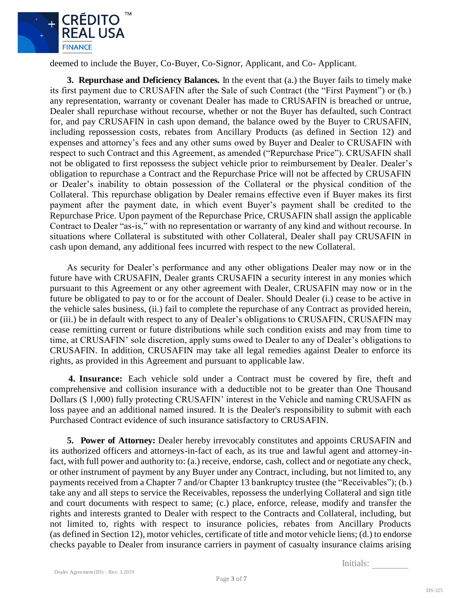

deemed to include the Buyer, Co-Buyer, Co-Signor, Applicant, and Co- Applicant.

**3. Repurchase and Deficiency Balances.** In the event that (a.) the Buyer fails to timely make its first payment due to CRUSAFIN after the Sale of such Contract (the "First Payment") or (b.) any representation, warranty or covenant Dealer has made to CRUSAFIN is breached or untrue, Dealer shall repurchase without recourse, whether or not the Buyer has defaulted, such Contract for, and pay CRUSAFIN in cash upon demand, the balance owed by the Buyer to CRUSAFIN, including repossession costs, rebates from Ancillary Products (as defined in Section 12) and expenses and attorney's fees and any other sums owed by Buyer and Dealer to CRUSAFIN with respect to such Contract and this Agreement, as amended ("Repurchase Price"). CRUSAFIN shall not be obligated to first repossess the subject vehicle prior to reimbursement by Dealer. Dealer's obligation to repurchase a Contract and the Repurchase Price will not be affected by CRUSAFIN or Dealer's inability to obtain possession of the Collateral or the physical condition of the Collateral. This repurchase obligation by Dealer remains effective even if Buyer makes its first payment after the payment date, in which event Buyer's payment shall be credited to the Repurchase Price. Upon payment of the Repurchase Price, CRUSAFIN shall assign the applicable Contract to Dealer "as-is," with no representation or warranty of any kind and without recourse. In situations where Collateral is substituted with other Collateral, Dealer shall pay CRUSAFIN in cash upon demand, any additional fees incurred with respect to the new Collateral.

As security for Dealer's performance and any other obligations Dealer may now or in the future have with CRUSAFIN, Dealer grants CRUSAFIN a security interest in any monies which pursuant to this Agreement or any other agreement with Dealer, CRUSAFIN may now or in the future be obligated to pay to or for the account of Dealer. Should Dealer (i.) cease to be active in the vehicle sales business, (ii.) fail to complete the repurchase of any Contract as provided herein, or (iii.) be in default with respect to any of Dealer's obligations to CRUSAFIN, CRUSAFIN may cease remitting current or future distributions while such condition exists and may from time to time, at CRUSAFIN' sole discretion, apply sums owed to Dealer to any of Dealer's obligations to CRUSAFIN. In addition, CRUSAFIN may take all legal remedies against Dealer to enforce its rights, as provided in this Agreement and pursuant to applicable law.

**4. Insurance:** Each vehicle sold under a Contract must be covered by fire, theft and comprehensive and collision insurance with a deductible not to be greater than One Thousand Dollars (\$ 1,000) fully protecting CRUSAFIN' interest in the Vehicle and naming CRUSAFIN as loss payee and an additional named insured. It is the Dealer's responsibility to submit with each Purchased Contract evidence of such insurance satisfactory to CRUSAFIN.

**5. Power of Attorney:** Dealer hereby irrevocably constitutes and appoints CRUSAFIN and its authorized officers and attorneys-in-fact of each, as its true and lawful agent and attorney-infact, with full power and authority to: (a.) receive, endorse, cash, collect and or negotiate any check, or other instrument of payment by any Buyer under any Contract, including, but not limited to, any payments received from a Chapter 7 and/or Chapter 13 bankruptcy trustee (the "Receivables"); (b.) take any and all steps to service the Receivables, repossess the underlying Collateral and sign title and court documents with respect to same; (c.) place, enforce, release, modify and transfer the rights and interests granted to Dealer with respect to the Contracts and Collateral, including, but not limited to, rights with respect to insurance policies, rebates from Ancillary Products (as defined in Section 12), motor vehicles, certificate of title and motor vehicle liens; (d.) to endorse checks payable to Dealer from insurance carriers in payment of casualty insurance claims arising

Page **3** of **7**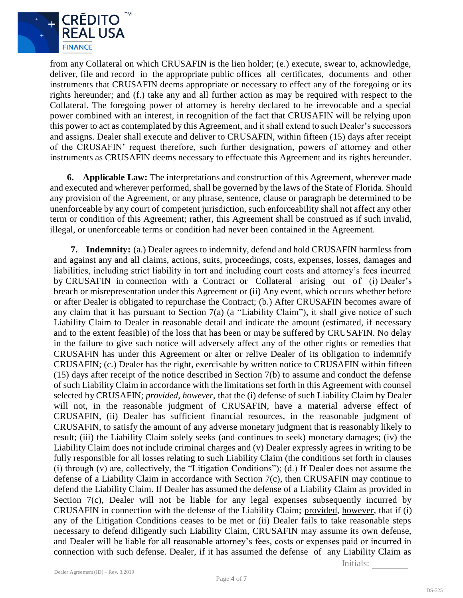

from any Collateral on which CRUSAFIN is the lien holder; (e.) execute, swear to, acknowledge, deliver, file and record in the appropriate public offices all certificates, documents and other instruments that CRUSAFIN deems appropriate or necessary to effect any of the foregoing or its rights hereunder; and (f.) take any and all further action as may be required with respect to the Collateral. The foregoing power of attorney is hereby declared to be irrevocable and a special power combined with an interest, in recognition of the fact that CRUSAFIN will be relying upon this power to act as contemplated by this Agreement, and it shall extend to such Dealer's successors and assigns. Dealer shall execute and deliver to CRUSAFIN, within fifteen (15) days after receipt of the CRUSAFIN' request therefore, such further designation, powers of attorney and other instruments as CRUSAFIN deems necessary to effectuate this Agreement and its rights hereunder.

**6. Applicable Law:** The interpretations and construction of this Agreement, wherever made and executed and wherever performed, shall be governed by the laws of the State of Florida. Should any provision of the Agreement, or any phrase, sentence, clause or paragraph be determined to be unenforceable by any court of competent jurisdiction, such enforceability shall not affect any other term or condition of this Agreement; rather, this Agreement shall be construed as if such invalid, illegal, or unenforceable terms or condition had never been contained in the Agreement.

**7. Indemnity:** (a.) Dealer agrees to indemnify, defend and hold CRUSAFIN harmless from and against any and all claims, actions, suits, proceedings, costs, expenses, losses, damages and liabilities, including strict liability in tort and including court costs and attorney's fees incurred by CRUSAFIN in connection with a Contract or Collateral arising out of (i) Dealer's breach or misrepresentation under this Agreement or (ii) Any event, which occurs whether before or after Dealer is obligated to repurchase the Contract; (b.) After CRUSAFIN becomes aware of any claim that it has pursuant to Section 7(a) (a "Liability Claim"), it shall give notice of such Liability Claim to Dealer in reasonable detail and indicate the amount (estimated, if necessary and to the extent feasible) of the loss that has been or may be suffered by CRUSAFIN. No delay in the failure to give such notice will adversely affect any of the other rights or remedies that CRUSAFIN has under this Agreement or alter or relive Dealer of its obligation to indemnify CRUSAFIN; (c.) Dealer has the right, exercisable by written notice to CRUSAFIN within fifteen (15) days after receipt of the notice described in Section 7(b) to assume and conduct the defense of such Liability Claim in accordance with the limitations set forth in this Agreement with counsel selected by CRUSAFIN; *provided, however*, that the (i) defense of such Liability Claim by Dealer will not, in the reasonable judgment of CRUSAFIN, have a material adverse effect of CRUSAFIN, (ii) Dealer has sufficient financial resources, in the reasonable judgment of CRUSAFIN, to satisfy the amount of any adverse monetary judgment that is reasonably likely to result; (iii) the Liability Claim solely seeks (and continues to seek) monetary damages; (iv) the Liability Claim does not include criminal charges and (v) Dealer expressly agrees in writing to be fully responsible for all losses relating to such Liability Claim (the conditions set forth in clauses (i) through (v) are, collectively, the "Litigation Conditions"); (d.) If Dealer does not assume the defense of a Liability Claim in accordance with Section 7(c), then CRUSAFIN may continue to defend the Liability Claim. If Dealer has assumed the defense of a Liability Claim as provided in Section 7(c), Dealer will not be liable for any legal expenses subsequently incurred by CRUSAFIN in connection with the defense of the Liability Claim; provided, however, that if (i) any of the Litigation Conditions ceases to be met or (ii) Dealer fails to take reasonable steps necessary to defend diligently such Liability Claim, CRUSAFIN may assume its own defense, and Dealer will be liable for all reasonable attorney's fees, costs or expenses paid or incurred in connection with such defense. Dealer, if it has assumed the defense of any Liability Claim as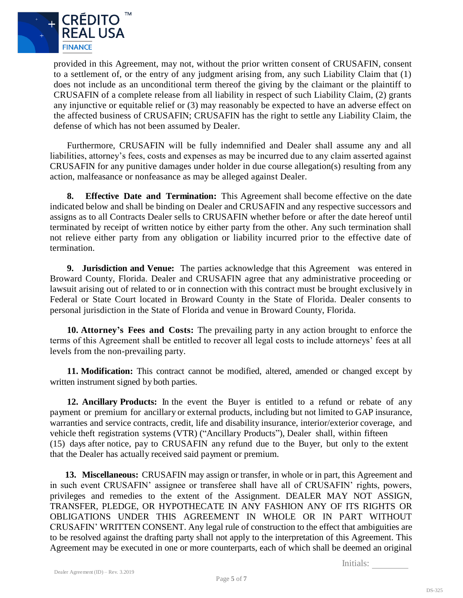

provided in this Agreement, may not, without the prior written consent of CRUSAFIN, consent to a settlement of, or the entry of any judgment arising from, any such Liability Claim that (1) does not include as an unconditional term thereof the giving by the claimant or the plaintiff to CRUSAFIN of a complete release from all liability in respect of such Liability Claim, (2) grants any injunctive or equitable relief or (3) may reasonably be expected to have an adverse effect on the affected business of CRUSAFIN; CRUSAFIN has the right to settle any Liability Claim, the defense of which has not been assumed by Dealer.

Furthermore, CRUSAFIN will be fully indemnified and Dealer shall assume any and all liabilities, attorney's fees, costs and expenses as may be incurred due to any claim asserted against CRUSAFIN for any punitive damages under holder in due course allegation(s) resulting from any action, malfeasance or nonfeasance as may be alleged against Dealer.

**8. Effective Date and Termination:** This Agreement shall become effective on the date indicated below and shall be binding on Dealer and CRUSAFIN and any respective successors and assigns as to all Contracts Dealer sells to CRUSAFIN whether before or after the date hereof until terminated by receipt of written notice by either party from the other. Any such termination shall not relieve either party from any obligation or liability incurred prior to the effective date of termination.

**9. Jurisdiction and Venue:** The parties acknowledge that this Agreement was entered in Broward County, Florida. Dealer and CRUSAFIN agree that any administrative proceeding or lawsuit arising out of related to or in connection with this contract must be brought exclusively in Federal or State Court located in Broward County in the State of Florida. Dealer consents to personal jurisdiction in the State of Florida and venue in Broward County, Florida.

**10. Attorney's Fees and Costs:** The prevailing party in any action brought to enforce the terms of this Agreement shall be entitled to recover all legal costs to include attorneys' fees at all levels from the non-prevailing party.

**11. Modification:** This contract cannot be modified, altered, amended or changed except by written instrument signed by both parties.

**12. Ancillary Products:** In the event the Buyer is entitled to a refund or rebate of any payment or premium for ancillary or external products, including but not limited to GAP insurance, warranties and service contracts, credit, life and disability insurance, interior/exterior coverage, and vehicle theft registration systems (VTR) ("Ancillary Products"), Dealer shall, within fifteen (15) days after notice, pay to CRUSAFIN any refund due to the Buyer, but only to the extent that the Dealer has actually received said payment or premium.

**13. Miscellaneous:** CRUSAFIN may assign or transfer, in whole or in part, this Agreement and in such event CRUSAFIN' assignee or transferee shall have all of CRUSAFIN' rights, powers, privileges and remedies to the extent of the Assignment. DEALER MAY NOT ASSIGN, TRANSFER, PLEDGE, OR HYPOTHECATE IN ANY FASHION ANY OF ITS RIGHTS OR OBLIGATIONS UNDER THIS AGREEMENT IN WHOLE OR IN PART WITHOUT CRUSAFIN' WRITTEN CONSENT. Any legal rule of construction to the effect that ambiguities are to be resolved against the drafting party shall not apply to the interpretation of this Agreement. This Agreement may be executed in one or more counterparts, each of which shall be deemed an original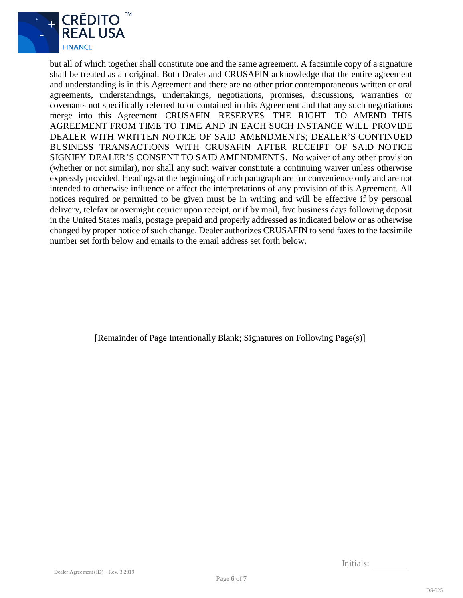

but all of which together shall constitute one and the same agreement. A facsimile copy of a signature shall be treated as an original. Both Dealer and CRUSAFIN acknowledge that the entire agreement and understanding is in this Agreement and there are no other prior contemporaneous written or oral agreements, understandings, undertakings, negotiations, promises, discussions, warranties or covenants not specifically referred to or contained in this Agreement and that any such negotiations merge into this Agreement. CRUSAFIN RESERVES THE RIGHT TO AMEND THIS AGREEMENT FROM TIME TO TIME AND IN EACH SUCH INSTANCE WILL PROVIDE DEALER WITH WRITTEN NOTICE OF SAID AMENDMENTS; DEALER'S CONTINUED BUSINESS TRANSACTIONS WITH CRUSAFIN AFTER RECEIPT OF SAID NOTICE SIGNIFY DEALER'S CONSENT TO SAID AMENDMENTS. No waiver of any other provision (whether or not similar), nor shall any such waiver constitute a continuing waiver unless otherwise expressly provided. Headings at the beginning of each paragraph are for convenience only and are not intended to otherwise influence or affect the interpretations of any provision of this Agreement. All notices required or permitted to be given must be in writing and will be effective if by personal delivery, telefax or overnight courier upon receipt, or if by mail, five business days following deposit in the United States mails, postage prepaid and properly addressed as indicated below or as otherwise changed by proper notice of such change. Dealer authorizes CRUSAFIN to send faxes to the facsimile number set forth below and emails to the email address set forth below.

[Remainder of Page Intentionally Blank; Signatures on Following Page(s)]